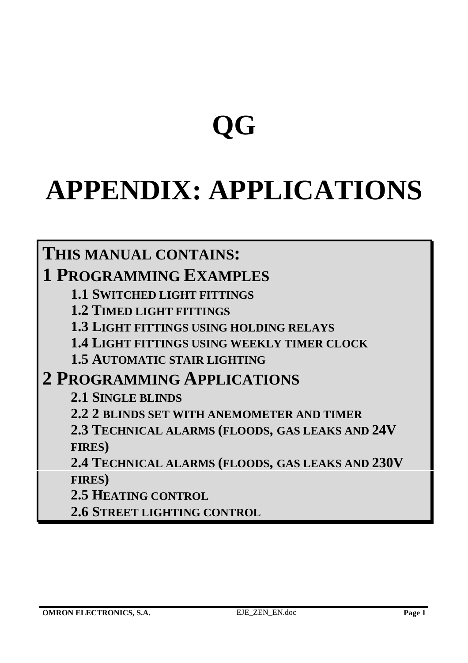# **QG**

# **APPENDIX: APPLICATIONS**

# **THIS MANUAL CONTAINS: 1 PROGRAMMING EXAMPLES**

**1.1 SWITCHED LIGHT FITTINGS**

**1.2 TIMED LIGHT FITTINGS**

**1.3 LIGHT FITTINGS USING HOLDING RELAYS**

**1.4 LIGHT FITTINGS USING WEEKLY TIMER CLOCK**

**1.5 AUTOMATIC STAIR LIGHTING**

# **2 PROGRAMMING APPLICATIONS**

**2.1 SINGLE BLINDS**

**2.2 2 BLINDS SET WITH ANEMOMETER AND TIMER**

**2.3 TECHNICAL ALARMS (FLOODS, GAS LEAKS AND 24V FIRES)**

**2.4 TECHNICAL ALARMS (FLOODS, GAS LEAKS AND 230V FIRES)**

**2.5 HEATING CONTROL**

**2.6 STREET LIGHTING CONTROL**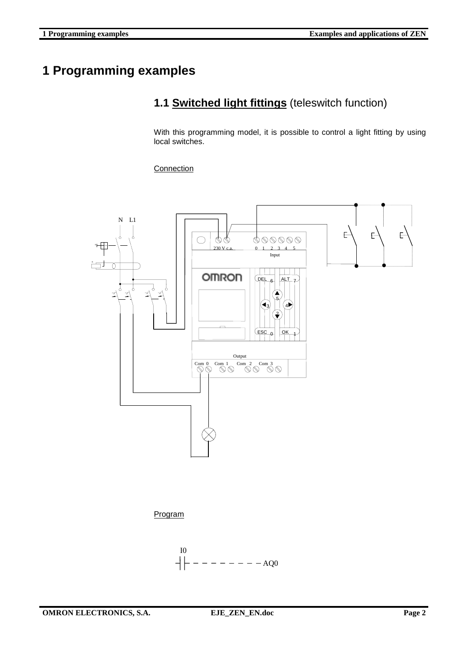# **1 Programming examples**

# **1.1 Switched light fittings** (teleswitch function)

With this programming model, it is possible to control a light fitting by using local switches.

**Connection** 



Program

$$
\begin{array}{c}\n10 \\
\left|\left| \begin{array}{c}\right| \end{array}\right| \end{array} \left| \begin{array}{c}\right| \end{array}\right| \end{array}
$$

**OMRON ELECTRONICS, S.A. EJE\_ZEN\_EN.doc** Page 2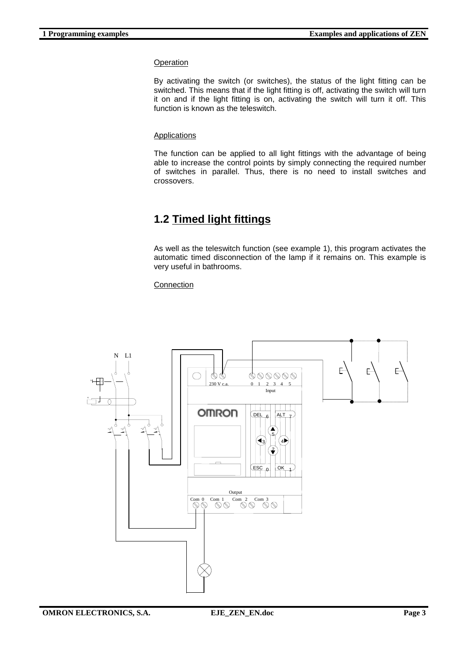By activating the switch (or switches), the status of the light fitting can be switched. This means that if the light fitting is off, activating the switch will turn it on and if the light fitting is on, activating the switch will turn it off. This function is known as the teleswitch.

### Applications

The function can be applied to all light fittings with the advantage of being able to increase the control points by simply connecting the required number of switches in parallel. Thus, there is no need to install switches and crossovers.

# **1.2 Timed light fittings**

As well as the teleswitch function (see example 1), this program activates the automatic timed disconnection of the lamp if it remains on. This example is very useful in bathrooms.

### **Connection**



**OMRON ELECTRONICS, S.A.** EJE\_ZEN\_EN.doc Page 3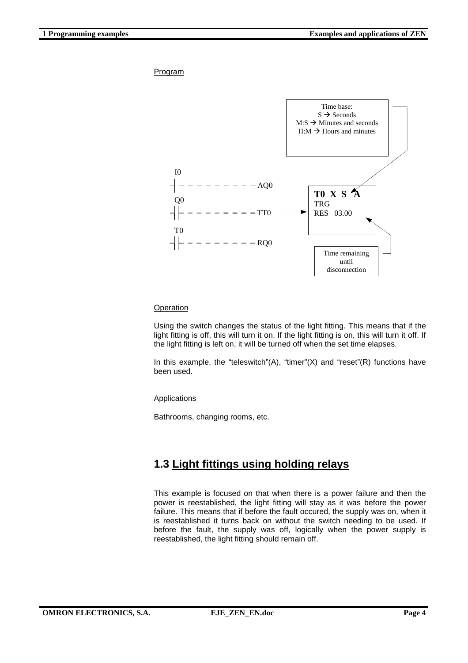

### **Operation**

Using the switch changes the status of the light fitting. This means that if the light fitting is off, this will turn it on. If the light fitting is on, this will turn it off. If the light fitting is left on, it will be turned off when the set time elapses.

In this example, the "teleswitch"(A), "timer"(X) and "reset"(R) functions have been used.

### Applications

Bathrooms, changing rooms, etc.

## **1.3 Light fittings using holding relays**

This example is focused on that when there is a power failure and then the power is reestablished, the light fitting will stay as it was before the power failure. This means that if before the fault occured, the supply was on, when it is reestablished it turns back on without the switch needing to be used. If before the fault, the supply was off, logically when the power supply is reestablished, the light fitting should remain off.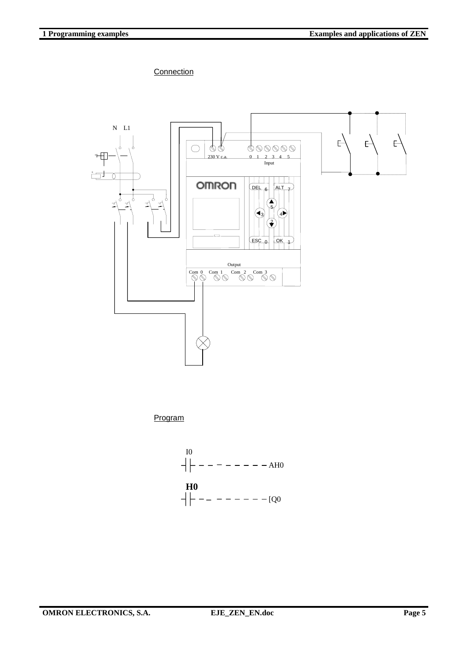**Connection** 



Program



**OMRON ELECTRONICS, S.A. EJE\_ZEN\_EN.doc** Page 5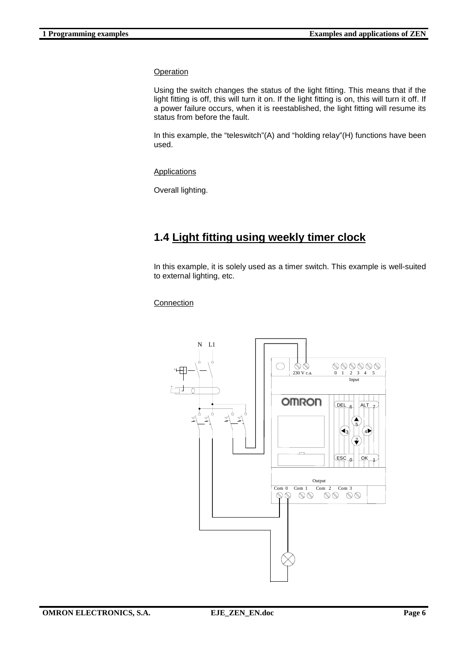Using the switch changes the status of the light fitting. This means that if the light fitting is off, this will turn it on. If the light fitting is on, this will turn it off. If a power failure occurs, when it is reestablished, the light fitting will resume its status from before the fault.

In this example, the "teleswitch"(A) and "holding relay"(H) functions have been used.

Applications

Overall lighting.

## **1.4 Light fitting using weekly timer clock**

In this example, it is solely used as a timer switch. This example is well-suited to external lighting, etc.

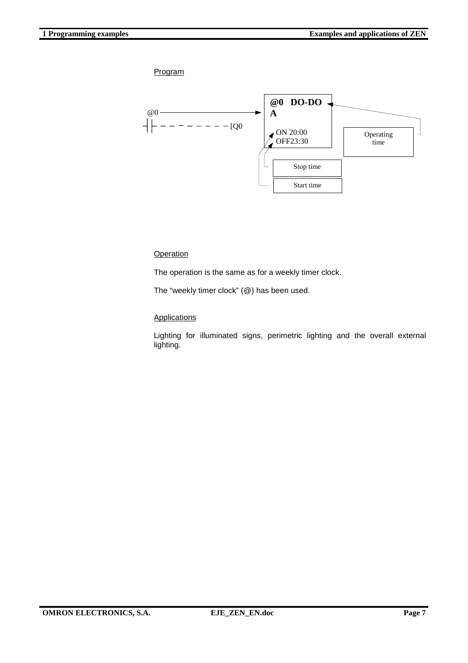

### **Operation**

The operation is the same as for a weekly timer clock.

The "weekly timer clock" (@) has been used.

### **Applications**

Lighting for illuminated signs, perimetric lighting and the overall external lighting.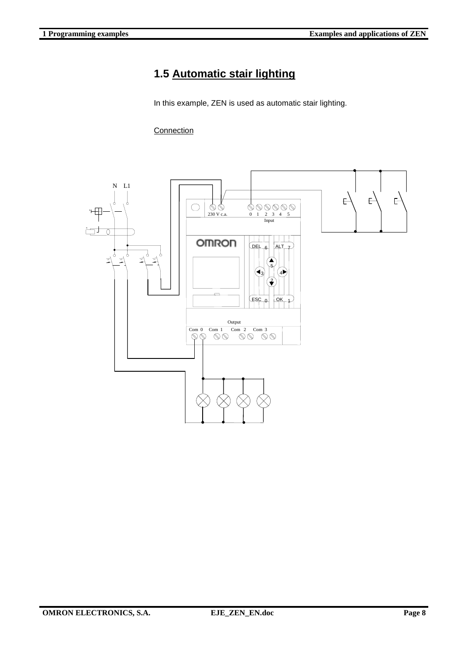## **1.5 Automatic stair lighting**

In this example, ZEN is used as automatic stair lighting.

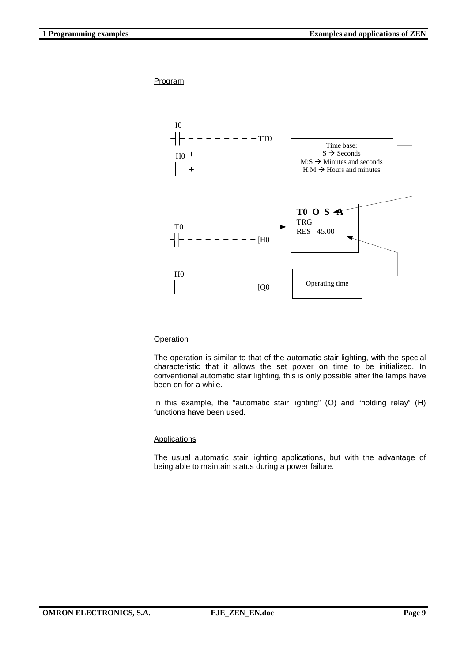

### **Operation**

The operation is similar to that of the automatic stair lighting, with the special characteristic that it allows the set power on time to be initialized. In conventional automatic stair lighting, this is only possible after the lamps have been on for a while.

In this example, the "automatic stair lighting" (O) and "holding relay" (H) functions have been used.

#### Applications

The usual automatic stair lighting applications, but with the advantage of being able to maintain status during a power failure.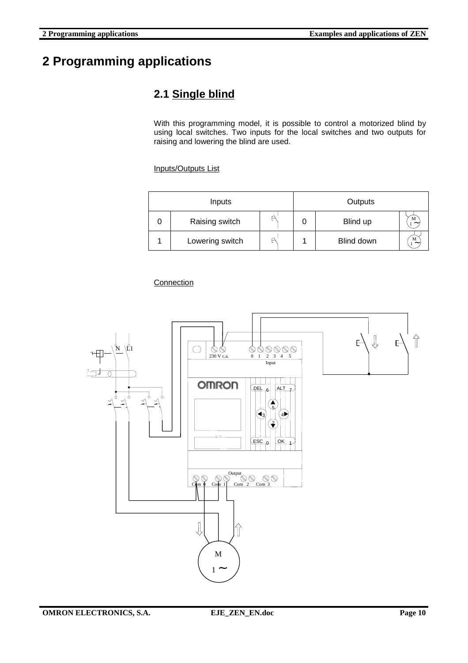# **2 Programming applications**

# **2.1 Single blind**

With this programming model, it is possible to control a motorized blind by using local switches. Two inputs for the local switches and two outputs for raising and lowering the blind are used.

Inputs/Outputs List

| Inputs |                 |   | Outputs |            |                                |
|--------|-----------------|---|---------|------------|--------------------------------|
|        | Raising switch  | P |         | Blind up   | M<br>$\widetilde{\phantom{m}}$ |
|        | Lowering switch | ۳ |         | Blind down | M<br>$\tilde{\phantom{a}}$     |

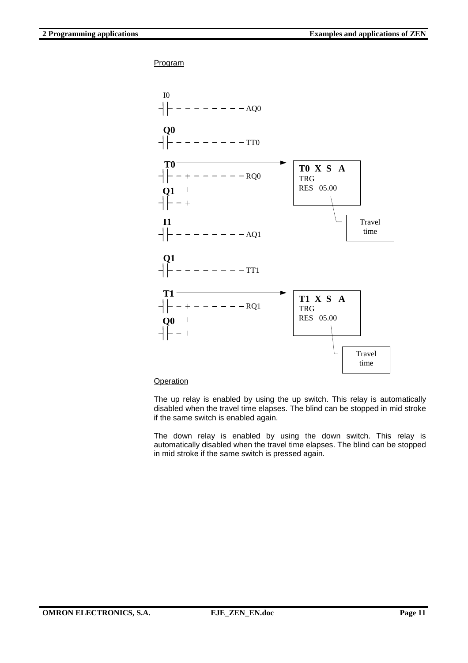

#### **Operation**

The up relay is enabled by using the up switch. This relay is automatically disabled when the travel time elapses. The blind can be stopped in mid stroke if the same switch is enabled again.

The down relay is enabled by using the down switch. This relay is automatically disabled when the travel time elapses. The blind can be stopped in mid stroke if the same switch is pressed again.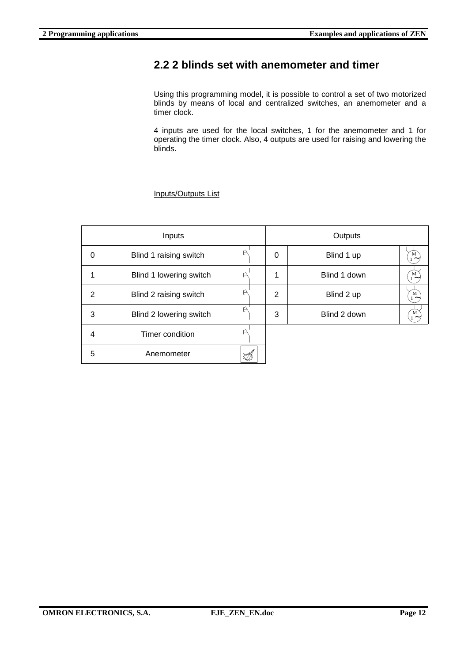### **2.2 2 blinds set with anemometer and timer**

Using this programming model, it is possible to control a set of two motorized blinds by means of local and centralized switches, an anemometer and a timer clock.

4 inputs are used for the local switches, 1 for the anemometer and 1 for operating the timer clock. Also, 4 outputs are used for raising and lowering the blinds.

### Inputs/Outputs List

| Inputs |                         |    | Outputs |   |              |                            |
|--------|-------------------------|----|---------|---|--------------|----------------------------|
| 0      | Blind 1 raising switch  | P  |         | 0 | Blind 1 up   | М<br>$\tilde{\phantom{a}}$ |
| 1      | Blind 1 lowering switch | F) |         | 1 | Blind 1 down | м<br>$\tilde{\phantom{a}}$ |
| 2      | Blind 2 raising switch  | P  |         | 2 | Blind 2 up   | M<br>$\tilde{\phantom{a}}$ |
| 3      | Blind 2 lowering switch | P  |         | 3 | Blind 2 down | M<br>$1 -$                 |
| 4      | Timer condition         | F) |         |   |              |                            |
| 5      | Anemometer              |    |         |   |              |                            |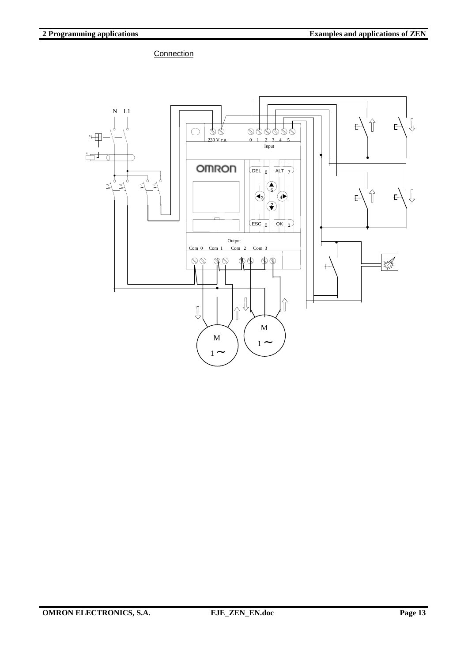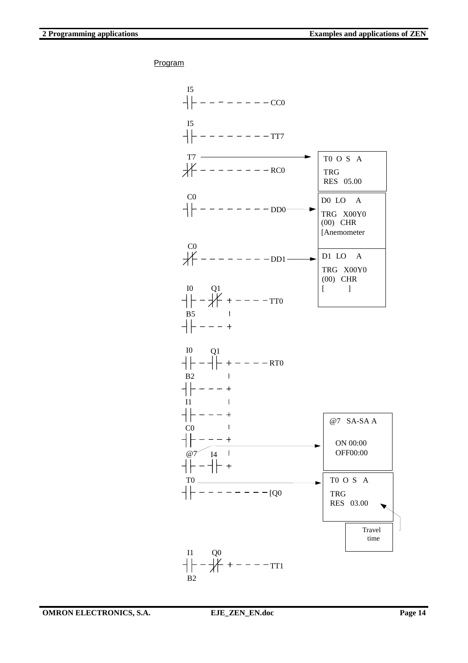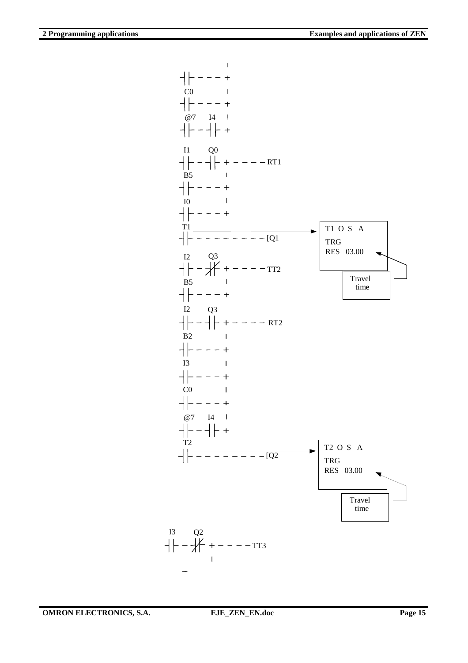

**OMRON ELECTRONICS, S.A.** EJE\_ZEN\_EN.doc Page 15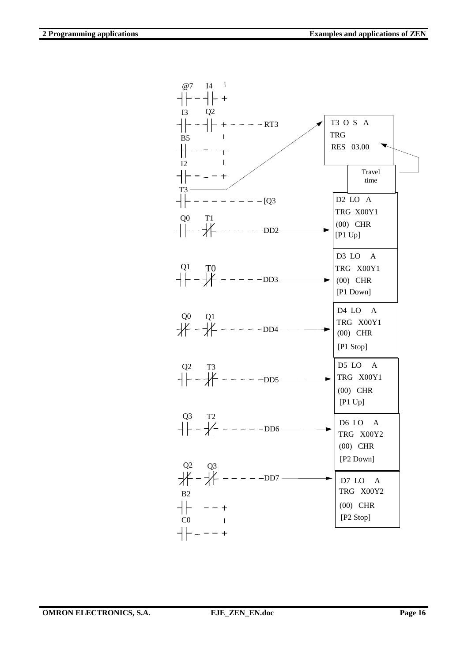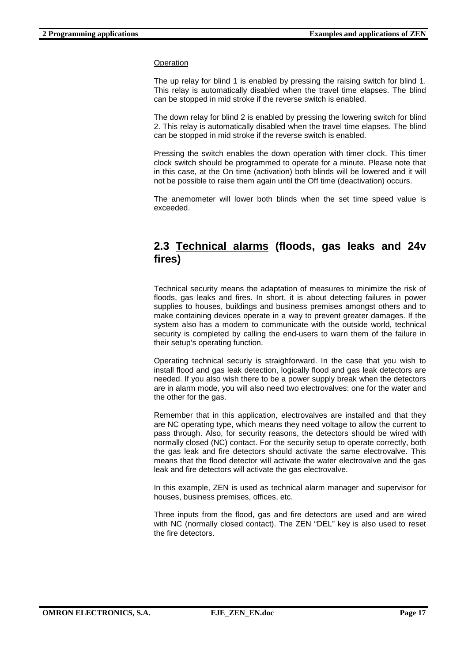The up relay for blind 1 is enabled by pressing the raising switch for blind 1. This relay is automatically disabled when the travel time elapses. The blind can be stopped in mid stroke if the reverse switch is enabled.

The down relay for blind 2 is enabled by pressing the lowering switch for blind 2. This relay is automatically disabled when the travel time elapses. The blind can be stopped in mid stroke if the reverse switch is enabled.

Pressing the switch enables the down operation with timer clock. This timer clock switch should be programmed to operate for a minute. Please note that in this case, at the On time (activation) both blinds will be lowered and it will not be possible to raise them again until the Off time (deactivation) occurs.

The anemometer will lower both blinds when the set time speed value is exceeded.

### **2.3 Technical alarms (floods, gas leaks and 24v fires)**

Technical security means the adaptation of measures to minimize the risk of floods, gas leaks and fires. In short, it is about detecting failures in power supplies to houses, buildings and business premises amongst others and to make containing devices operate in a way to prevent greater damages. If the system also has a modem to communicate with the outside world, technical security is completed by calling the end-users to warn them of the failure in their setup's operating function.

Operating technical securiy is straighforward. In the case that you wish to install flood and gas leak detection, logically flood and gas leak detectors are needed. If you also wish there to be a power supply break when the detectors are in alarm mode, you will also need two electrovalves: one for the water and the other for the gas.

Remember that in this application, electrovalves are installed and that they are NC operating type, which means they need voltage to allow the current to pass through. Also, for security reasons, the detectors should be wired with normally closed (NC) contact. For the security setup to operate correctly, both the gas leak and fire detectors should activate the same electrovalve. This means that the flood detector will activate the water electrovalve and the gas leak and fire detectors will activate the gas electrovalve.

In this example, ZEN is used as technical alarm manager and supervisor for houses, business premises, offices, etc.

Three inputs from the flood, gas and fire detectors are used and are wired with NC (normally closed contact). The ZEN "DEL" key is also used to reset the fire detectors.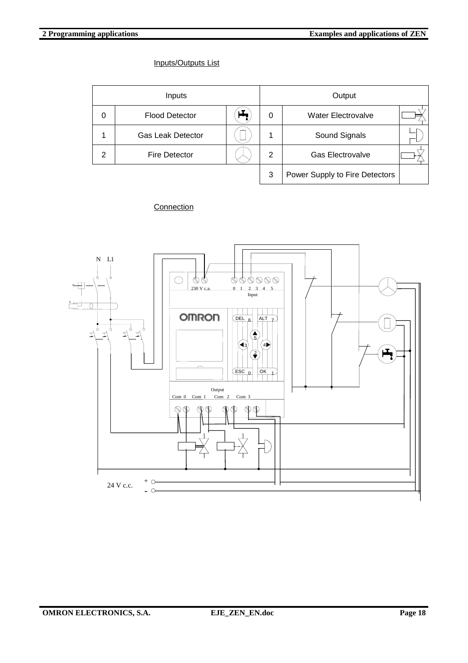### Inputs/Outputs List

| Inputs |                          |  | Output         |                                |  |
|--------|--------------------------|--|----------------|--------------------------------|--|
| 0      | <b>Flood Detector</b>    |  | 0              | <b>Water Electrovalve</b>      |  |
|        | <b>Gas Leak Detector</b> |  | 1              | Sound Signals                  |  |
| 2      | <b>Fire Detector</b>     |  | $\overline{2}$ | <b>Gas Electrovalve</b>        |  |
|        |                          |  | 3              | Power Supply to Fire Detectors |  |

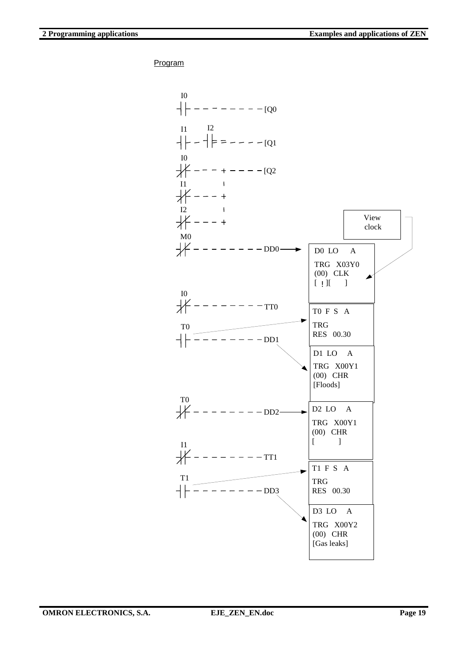

**OMRON ELECTRONICS, S.A.** EJE\_ZEN\_EN.doc Page 19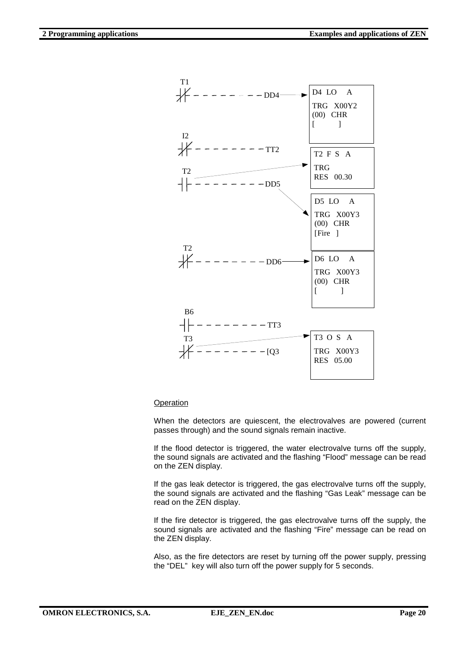

When the detectors are quiescent, the electrovalves are powered (current passes through) and the sound signals remain inactive.

If the flood detector is triggered, the water electrovalve turns off the supply, the sound signals are activated and the flashing "Flood" message can be read on the ZEN display.

If the gas leak detector is triggered, the gas electrovalve turns off the supply, the sound signals are activated and the flashing "Gas Leak" message can be read on the ZEN display.

If the fire detector is triggered, the gas electrovalve turns off the supply, the sound signals are activated and the flashing "Fire" message can be read on the ZEN display.

Also, as the fire detectors are reset by turning off the power supply, pressing the "DEL" key will also turn off the power supply for 5 seconds.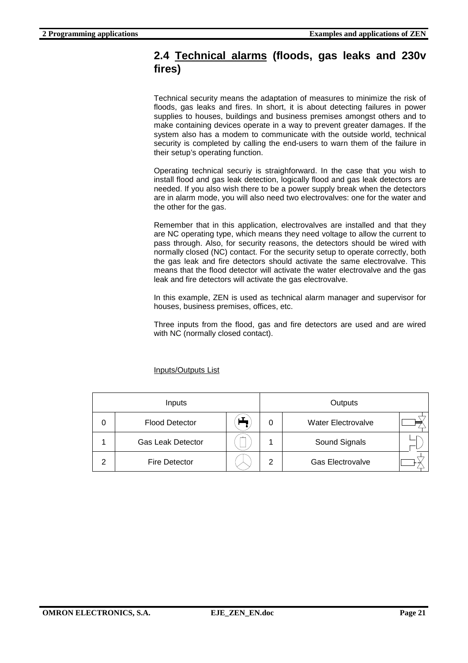### **2.4 Technical alarms (floods, gas leaks and 230v fires)**

Technical security means the adaptation of measures to minimize the risk of floods, gas leaks and fires. In short, it is about detecting failures in power supplies to houses, buildings and business premises amongst others and to make containing devices operate in a way to prevent greater damages. If the system also has a modem to communicate with the outside world, technical security is completed by calling the end-users to warn them of the failure in their setup's operating function.

Operating technical securiy is straighforward. In the case that you wish to install flood and gas leak detection, logically flood and gas leak detectors are needed. If you also wish there to be a power supply break when the detectors are in alarm mode, you will also need two electrovalves: one for the water and the other for the gas.

Remember that in this application, electrovalves are installed and that they are NC operating type, which means they need voltage to allow the current to pass through. Also, for security reasons, the detectors should be wired with normally closed (NC) contact. For the security setup to operate correctly, both the gas leak and fire detectors should activate the same electrovalve. This means that the flood detector will activate the water electrovalve and the gas leak and fire detectors will activate the gas electrovalve.

In this example, ZEN is used as technical alarm manager and supervisor for houses, business premises, offices, etc.

Three inputs from the flood, gas and fire detectors are used and are wired with NC (normally closed contact).

Inputs/Outputs List

| Inputs |                          |   | Outputs |                           |  |
|--------|--------------------------|---|---------|---------------------------|--|
| 0      | <b>Flood Detector</b>    |   | 0       | <b>Water Electrovalve</b> |  |
|        | <b>Gas Leak Detector</b> | _ |         | Sound Signals             |  |
| っ      | <b>Fire Detector</b>     |   | 2       | Gas Electrovalve          |  |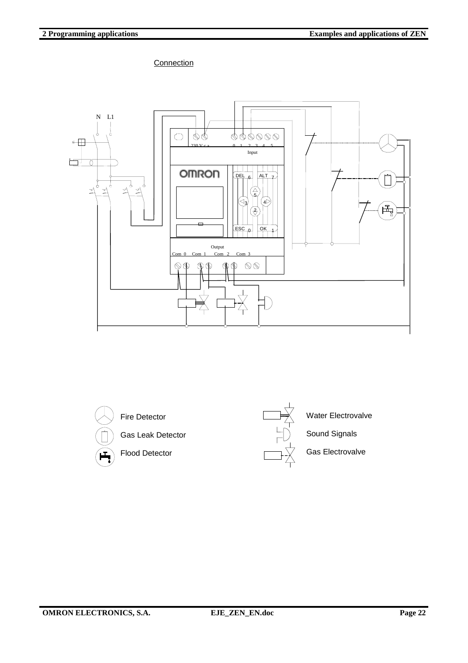

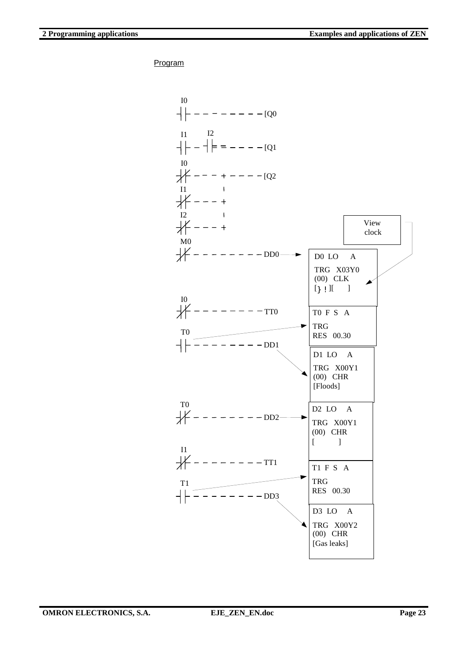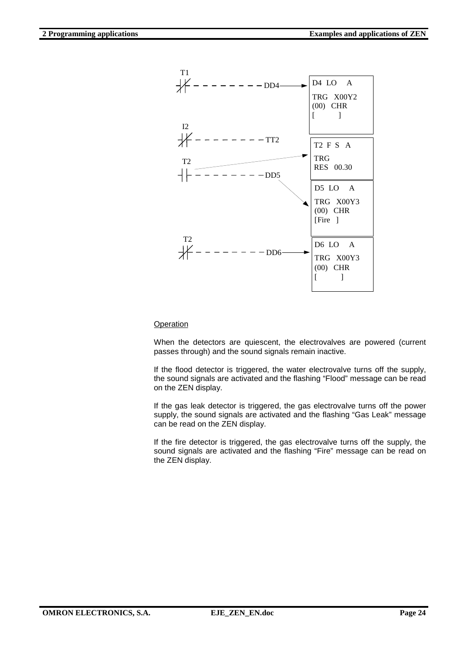

When the detectors are quiescent, the electrovalves are powered (current passes through) and the sound signals remain inactive.

If the flood detector is triggered, the water electrovalve turns off the supply, the sound signals are activated and the flashing "Flood" message can be read on the ZEN display.

If the gas leak detector is triggered, the gas electrovalve turns off the power supply, the sound signals are activated and the flashing "Gas Leak" message can be read on the ZEN display.

If the fire detector is triggered, the gas electrovalve turns off the supply, the sound signals are activated and the flashing "Fire" message can be read on the ZEN display.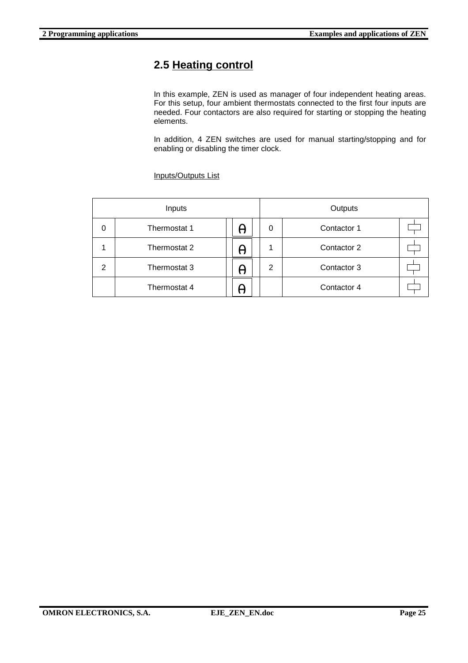# **2.5 Heating control**

In this example, ZEN is used as manager of four independent heating areas. For this setup, four ambient thermostats connected to the first four inputs are needed. Four contactors are also required for starting or stopping the heating elements.

In addition, 4 ZEN switches are used for manual starting/stopping and for enabling or disabling the timer clock.

| Inputs         |              |   |   | Outputs     |  |  |
|----------------|--------------|---|---|-------------|--|--|
| 0              | Thermostat 1 | H | 0 | Contactor 1 |  |  |
|                | Thermostat 2 | H |   | Contactor 2 |  |  |
| $\mathfrak{p}$ | Thermostat 3 | H | 2 | Contactor 3 |  |  |
|                | Thermostat 4 |   |   | Contactor 4 |  |  |

Inputs/Outputs List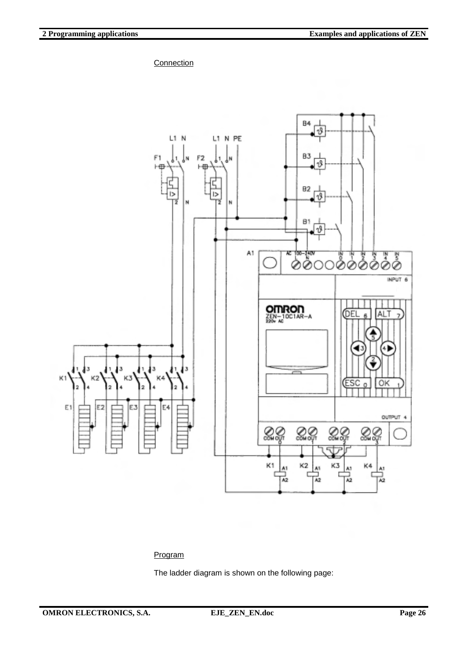**Connection** 



### Program

The ladder diagram is shown on the following page: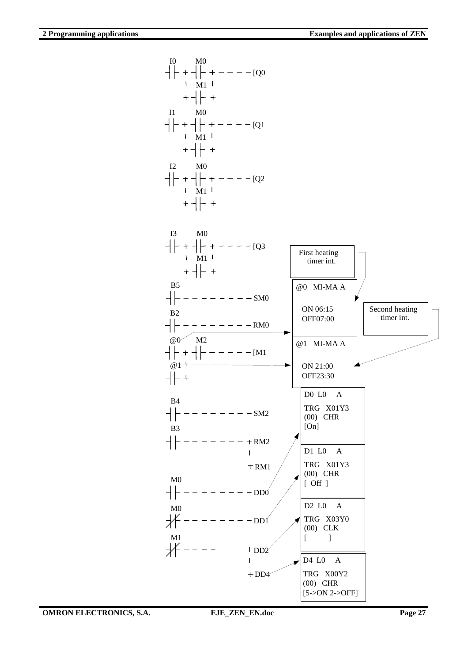I0 M0 [Q0 M1  $+$  +  $+$ I1 M0 [Q1 M1 I2 M0 [Q2 M1  $+$  -  $|$  +  $I3$ M0 [Q3 First heating M1 timer int. B5 @0 MI-MA A SM0 ON 06:15 Second heating B2 timer int. OFF07:00 RM0  $@0 \times M2$ @1 MI-MA A [M1 @1 ON 21:00 OFF23:30 D0 L0 A B4 SM2 TRG X01Y3 (00) CHR [On] B3  $------+RM2$ D1 L0 A TRG X01Y3  $+$ RM1 (00) CHR  $M<sub>0</sub>$ [ Off ]  $------DD0$ D2 L0 A M0 TRG X03Y0 DD1 (00) CLK  $M_1$ <br> $\neq$  $[ \qquad \qquad ]$  $- - - + DD2$  $\overline{1}$ D4 L0 A TRG X00Y2  $+DD4$ (00) CHR [5->ON 2->OFF]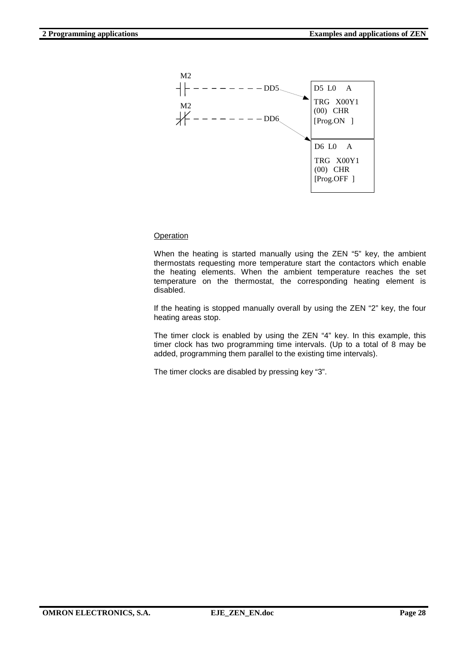

When the heating is started manually using the ZEN "5" key, the ambient thermostats requesting more temperature start the contactors which enable the heating elements. When the ambient temperature reaches the set temperature on the thermostat, the corresponding heating element is disabled.

If the heating is stopped manually overall by using the ZEN "2" key, the four heating areas stop.

The timer clock is enabled by using the ZEN "4" key. In this example, this timer clock has two programming time intervals. (Up to a total of 8 may be added, programming them parallel to the existing time intervals).

The timer clocks are disabled by pressing key "3".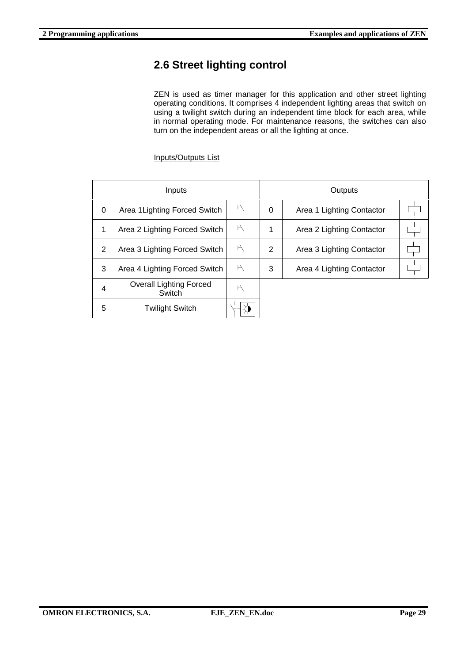# **2.6 Street lighting control**

ZEN is used as timer manager for this application and other street lighting operating conditions. It comprises 4 independent lighting areas that switch on using a twilight switch during an independent time block for each area, while in normal operating mode. For maintenance reasons, the switches can also turn on the independent areas or all the lighting at once.

Inputs/Outputs List

| Inputs   |                                          |  | Outputs |                           |  |
|----------|------------------------------------------|--|---------|---------------------------|--|
| $\Omega$ | Area 1 Lighting Forced Switch            |  | 0       | Area 1 Lighting Contactor |  |
| 1        | Area 2 Lighting Forced Switch            |  | 1       | Area 2 Lighting Contactor |  |
| 2        | Area 3 Lighting Forced Switch            |  | 2       | Area 3 Lighting Contactor |  |
| 3        | Area 4 Lighting Forced Switch            |  | 3       | Area 4 Lighting Contactor |  |
| 4        | <b>Overall Lighting Forced</b><br>Switch |  |         |                           |  |
| 5        | <b>Twilight Switch</b>                   |  |         |                           |  |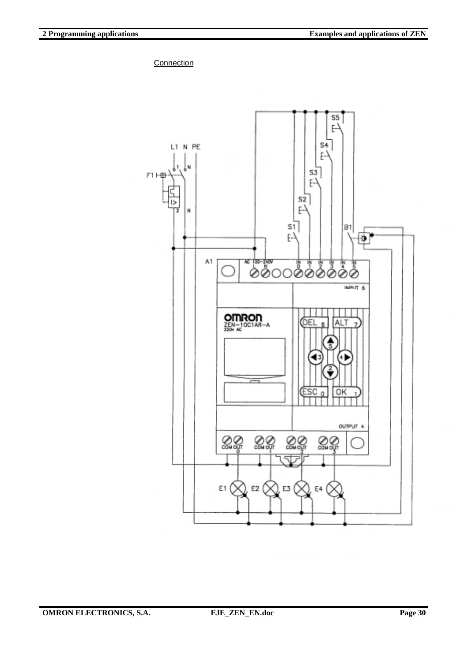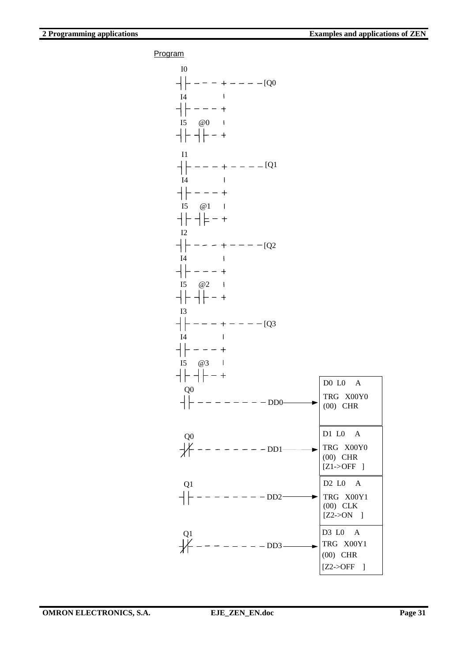| I <sub>0</sub><br>$--- + --- - [Q0]$<br>I <sub>4</sub><br>I<br>$- - - +$<br>$I5 \quad @0 \quad 1$<br>┥┝╸┥┝╺╸+                                        |                                                                                                |
|------------------------------------------------------------------------------------------------------------------------------------------------------|------------------------------------------------------------------------------------------------|
| I1<br>$---[Q]$<br>$+ - - +$<br><b>I4</b><br>$\hspace{0.1cm} - \hspace{0.1cm} - \hspace{0.1cm} - \hspace{0.1cm} +$<br>$I5 \quad \omega_1$<br>┥┝╶┥╞╶╴┽ |                                                                                                |
| I2<br>$--- + --- - [Q2]$<br>I4<br>$-$ - - - +<br>$I5 \quad @2 \quad I$<br>$-$ + $-$ +                                                                |                                                                                                |
| I3<br>$- - - - + - - - - [Q3]$<br>I4<br>$\mathsf{I}$<br>$- - - - +$<br>I5 @3  <br>┥┝╸┥┡╶╸┿                                                           | DO LO A                                                                                        |
| Q <sub>0</sub><br>$-DD0$                                                                                                                             | TRG X00Y0<br>$(00)$ CHR                                                                        |
| Q <sub>0</sub><br>$\frac{1}{2}$<br>$- - - -$ DD1-                                                                                                    | D1 L0 A<br>TRG X00Y0<br>$(00)$ CHR<br>$[Z1->OFF]$                                              |
| Q1<br>$+$<br>$- - - - DD2$                                                                                                                           | D <sub>2</sub> L <sub>0</sub> A<br>$\blacktriangleright$ TRG X00Y1<br>$(00)$ CLK<br>$[Z2->ON]$ |
| Q <sub>1</sub><br>₩<br>$- - - -$ DD3                                                                                                                 | D3 L0 A<br>TRG X00Y1<br>$(00)$ CHR<br>[Z2 > OFF]                                               |

**OMRON ELECTRONICS, S.A. EJE\_ZEN\_EN.doc** Page 31